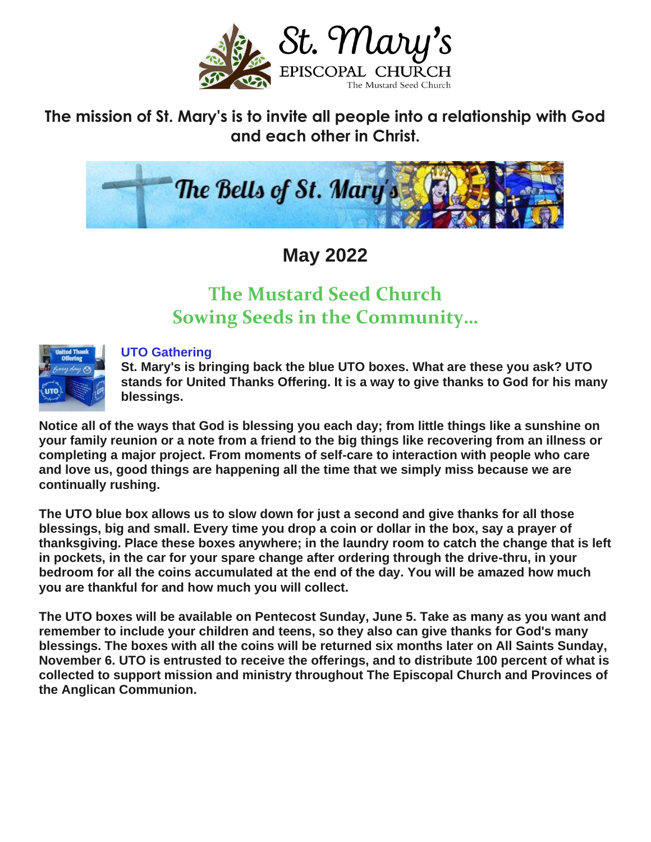

#### **The mission of St. Mary's is to invite all people into a relationship with God and each other in Christ.**



**May 2022**

# **The Mustard Seed Church Sowing Seeds in the Community…**



#### **UTO Gathering**

**St. Mary's is bringing back the blue UTO boxes. What are these you ask? UTO stands for United Thanks Offering. It is a way to give thanks to God for his many blessings.**

**Notice all of the ways that God is blessing you each day; from little things like a sunshine on your family reunion or a note from a friend to the big things like recovering from an illness or completing a major project. From moments of self-care to interaction with people who care and love us, good things are happening all the time that we simply miss because we are continually rushing.**

**The UTO blue box allows us to slow down for just a second and give thanks for all those blessings, big and small. Every time you drop a coin or dollar in the box, say a prayer of thanksgiving. Place these boxes anywhere; in the laundry room to catch the change that is left in pockets, in the car for your spare change after ordering through the drive-thru, in your bedroom for all the coins accumulated at the end of the day. You will be amazed how much you are thankful for and how much you will collect.**

**The UTO boxes will be available on Pentecost Sunday, June 5. Take as many as you want and remember to include your children and teens, so they also can give thanks for God's many blessings. The boxes with all the coins will be returned six months later on All Saints Sunday, November 6. UTO is entrusted to receive the offerings, and to distribute 100 percent of what is collected to support mission and ministry throughout The Episcopal Church and Provinces of the Anglican Communion.**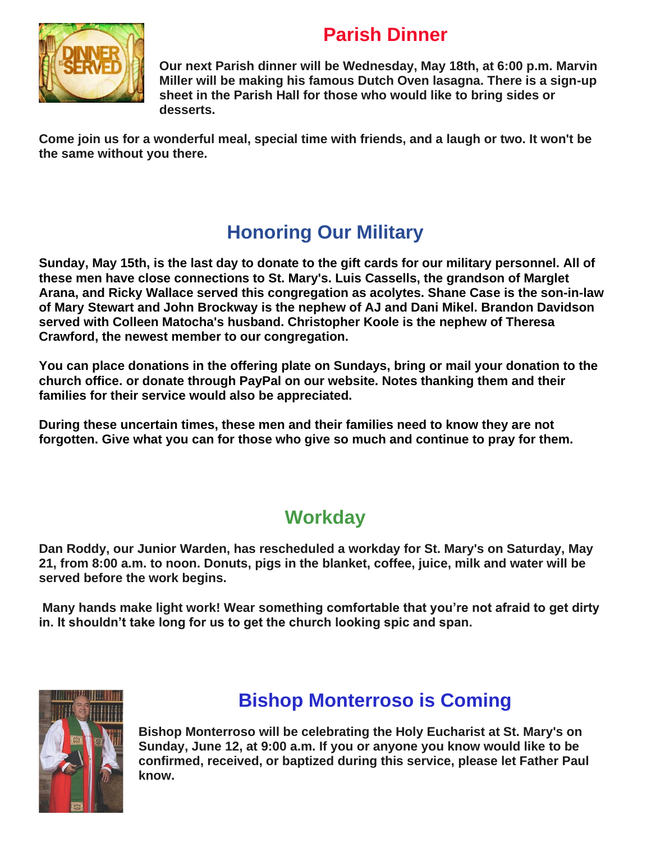# **Parish Dinner**



**Our next Parish dinner will be Wednesday, May 18th, at 6:00 p.m. Marvin Miller will be making his famous Dutch Oven lasagna. There is a sign-up sheet in the Parish Hall for those who would like to bring sides or desserts.**

**Come join us for a wonderful meal, special time with friends, and a laugh or two. It won't be the same without you there.**

# **Honoring Our Military**

**Sunday, May 15th, is the last day to donate to the gift cards for our military personnel. All of these men have close connections to St. Mary's. Luis Cassells, the grandson of Marglet Arana, and Ricky Wallace served this congregation as acolytes. Shane Case is the son-in-law of Mary Stewart and John Brockway is the nephew of AJ and Dani Mikel. Brandon Davidson served with Colleen Matocha's husband. Christopher Koole is the nephew of Theresa Crawford, the newest member to our congregation.**

**You can place donations in the offering plate on Sundays, bring or mail your donation to the church office. or donate through PayPal on our website. Notes thanking them and their families for their service would also be appreciated.**

**During these uncertain times, these men and their families need to know they are not forgotten. Give what you can for those who give so much and continue to pray for them.**

# **Workday**

**Dan Roddy, our Junior Warden, has rescheduled a workday for St. Mary's on Saturday, May 21, from 8:00 a.m. to noon. Donuts, pigs in the blanket, coffee, juice, milk and water will be served before the work begins.**

**Many hands make light work! Wear something comfortable that you're not afraid to get dirty in. It shouldn't take long for us to get the church looking spic and span.**



# **Bishop Monterroso is Coming**

**Bishop Monterroso will be celebrating the Holy Eucharist at St. Mary's on Sunday, June 12, at 9:00 a.m. If you or anyone you know would like to be confirmed, received, or baptized during this service, please let Father Paul know.**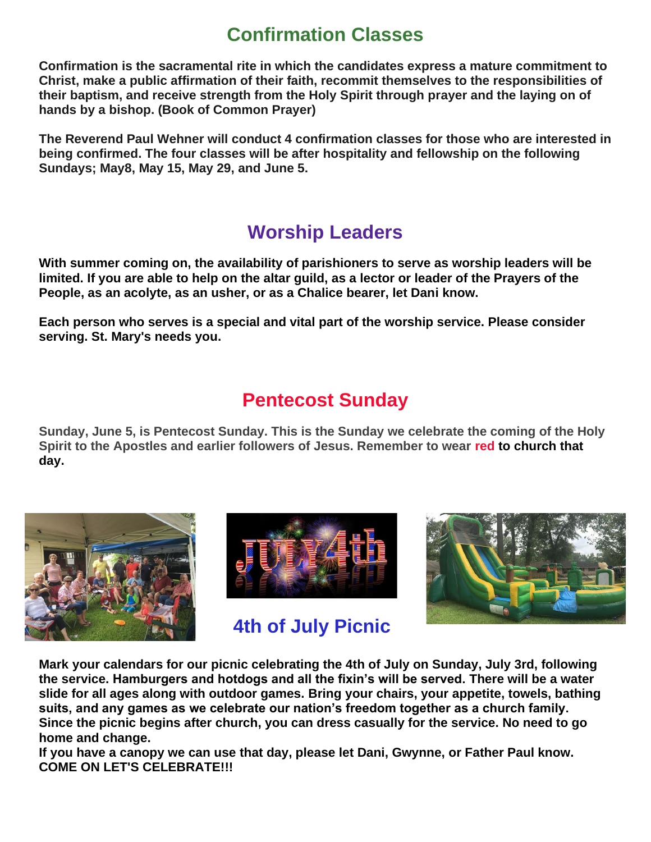# **Confirmation Classes**

**Confirmation is the sacramental rite in which the candidates express a mature commitment to Christ, make a public affirmation of their faith, recommit themselves to the responsibilities of their baptism, and receive strength from the Holy Spirit through prayer and the laying on of hands by a bishop. (Book of Common Prayer)**

**The Reverend Paul Wehner will conduct 4 confirmation classes for those who are interested in being confirmed. The four classes will be after hospitality and fellowship on the following Sundays; May8, May 15, May 29, and June 5.**

### **Worship Leaders**

**With summer coming on, the availability of parishioners to serve as worship leaders will be limited. If you are able to help on the altar guild, as a lector or leader of the Prayers of the People, as an acolyte, as an usher, or as a Chalice bearer, let Dani know.**

**Each person who serves is a special and vital part of the worship service. Please consider serving. St. Mary's needs you.**

## **Pentecost Sunday**

**Sunday, June 5, is Pentecost Sunday. This is the Sunday we celebrate the coming of the Holy Spirit to the Apostles and earlier followers of Jesus. Remember to wear red to church that day.**







#### **4th of July Picnic**

**Mark your calendars for our picnic celebrating the 4th of July on Sunday, July 3rd, following the service. Hamburgers and hotdogs and all the fixin's will be served. There will be a water slide for all ages along with outdoor games. Bring your chairs, your appetite, towels, bathing suits, and any games as we celebrate our nation's freedom together as a church family. Since the picnic begins after church, you can dress casually for the service. No need to go home and change.**

**If you have a canopy we can use that day, please let Dani, Gwynne, or Father Paul know. COME ON LET'S CELEBRATE!!!**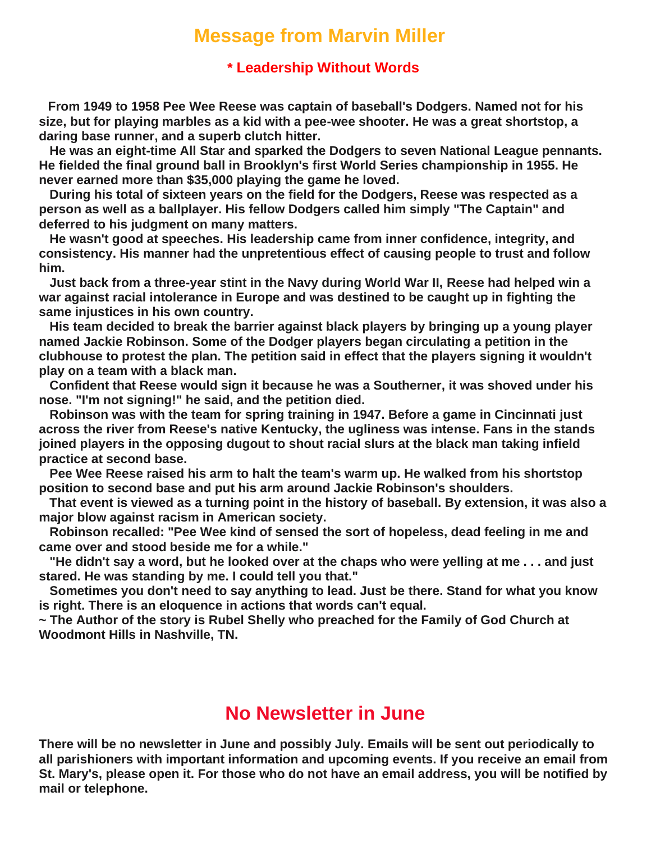#### **Message from Marvin Miller**

#### **\* Leadership Without Words**

 **From 1949 to 1958 Pee Wee Reese was captain of baseball's Dodgers. Named not for his size, but for playing marbles as a kid with a pee-wee shooter. He was a great shortstop, a daring base runner, and a superb clutch hitter.**

 **He was an eight-time All Star and sparked the Dodgers to seven National League pennants. He fielded the final ground ball in Brooklyn's first World Series championship in 1955. He never earned more than \$35,000 playing the game he loved.**

 **During his total of sixteen years on the field for the Dodgers, Reese was respected as a person as well as a ballplayer. His fellow Dodgers called him simply "The Captain" and deferred to his judgment on many matters.**

 **He wasn't good at speeches. His leadership came from inner confidence, integrity, and consistency. His manner had the unpretentious effect of causing people to trust and follow him.**

 **Just back from a three-year stint in the Navy during World War II, Reese had helped win a war against racial intolerance in Europe and was destined to be caught up in fighting the same injustices in his own country.**

 **His team decided to break the barrier against black players by bringing up a young player named Jackie Robinson. Some of the Dodger players began circulating a petition in the clubhouse to protest the plan. The petition said in effect that the players signing it wouldn't play on a team with a black man.**

 **Confident that Reese would sign it because he was a Southerner, it was shoved under his nose. "I'm not signing!" he said, and the petition died.**

 **Robinson was with the team for spring training in 1947. Before a game in Cincinnati just across the river from Reese's native Kentucky, the ugliness was intense. Fans in the stands joined players in the opposing dugout to shout racial slurs at the black man taking infield practice at second base.**

 **Pee Wee Reese raised his arm to halt the team's warm up. He walked from his shortstop position to second base and put his arm around Jackie Robinson's shoulders.**

 **That event is viewed as a turning point in the history of baseball. By extension, it was also a major blow against racism in American society.**

 **Robinson recalled: "Pee Wee kind of sensed the sort of hopeless, dead feeling in me and came over and stood beside me for a while."**

 **"He didn't say a word, but he looked over at the chaps who were yelling at me . . . and just stared. He was standing by me. I could tell you that."**

 **Sometimes you don't need to say anything to lead. Just be there. Stand for what you know is right. There is an eloquence in actions that words can't equal.**

**~ The Author of the story is Rubel Shelly who preached for the Family of God Church at Woodmont Hills in Nashville, TN.**

#### **No Newsletter in June**

**There will be no newsletter in June and possibly July. Emails will be sent out periodically to all parishioners with important information and upcoming events. If you receive an email from St. Mary's, please open it. For those who do not have an email address, you will be notified by mail or telephone.**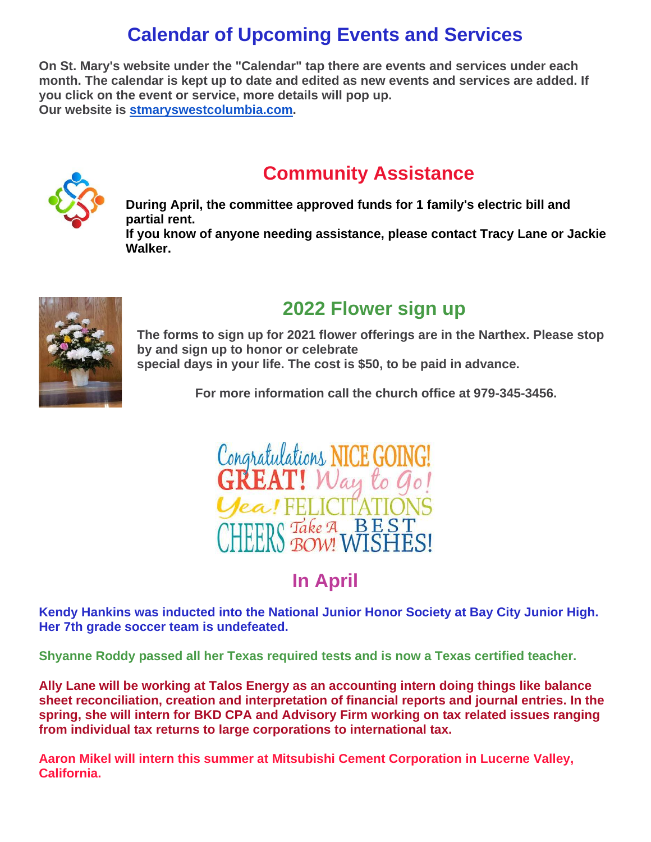# **Calendar of Upcoming Events and Services**

**On St. Mary's website under the "Calendar" tap there are events and services under each month. The calendar is kept up to date and edited as new events and services are added. If you click on the event or service, more details will pop up. Our website is [stmaryswestcolumbia.com.](http://stmaryswestcolumbia.com/)**



# **Community Assistance**

**During April, the committee approved funds for 1 family's electric bill and partial rent.**

**If you know of anyone needing assistance, please contact Tracy Lane or Jackie Walker.**



# **2022 Flower sign up**

**The forms to sign up for 2021 flower offerings are in the Narthex. Please stop by and sign up to honor or celebrate special days in your life. The cost is \$50, to be paid in advance.**

**For more information call the church office at 979-345-3456.**



# **In April**

**Kendy Hankins was inducted into the National Junior Honor Society at Bay City Junior High. Her 7th grade soccer team is undefeated.**

**Shyanne Roddy passed all her Texas required tests and is now a Texas certified teacher.**

**Ally Lane will be working at Talos Energy as an accounting intern doing things like balance sheet reconciliation, creation and interpretation of financial reports and journal entries. In the spring, she will intern for BKD CPA and Advisory Firm working on tax related issues ranging from individual tax returns to large corporations to international tax.**

**Aaron Mikel will intern this summer at Mitsubishi Cement Corporation in Lucerne Valley, California.**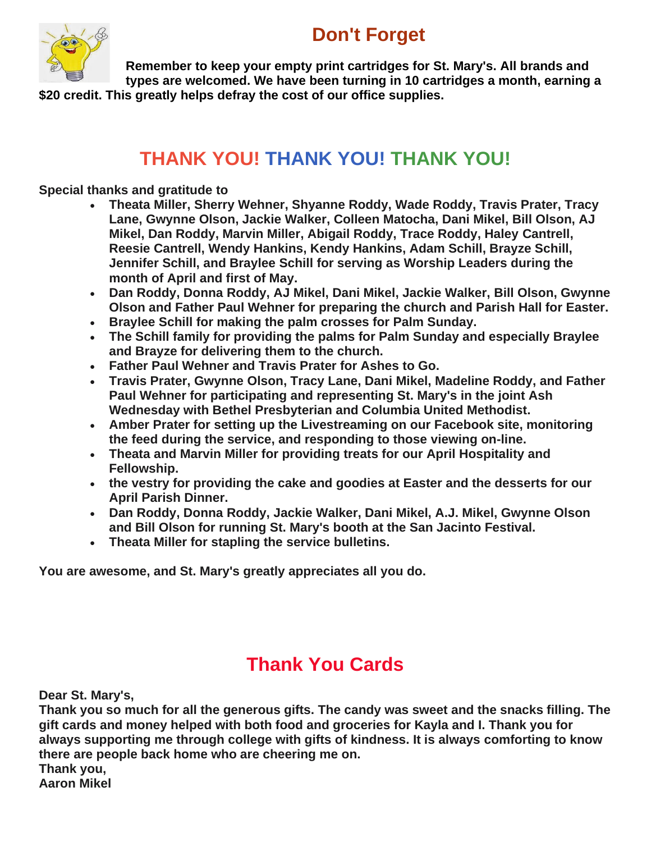

## **Don't Forget**

**Remember to keep your empty print cartridges for St. Mary's. All brands and types are welcomed. We have been turning in 10 cartridges a month, earning a \$20 credit. This greatly helps defray the cost of our office supplies.**

# **THANK YOU! THANK YOU! THANK YOU!**

#### **Special thanks and gratitude to**

- **Theata Miller, Sherry Wehner, Shyanne Roddy, Wade Roddy, Travis Prater, Tracy Lane, Gwynne Olson, Jackie Walker, Colleen Matocha, Dani Mikel, Bill Olson, AJ Mikel, Dan Roddy, Marvin Miller, Abigail Roddy, Trace Roddy, Haley Cantrell, Reesie Cantrell, Wendy Hankins, Kendy Hankins, Adam Schill, Brayze Schill, Jennifer Schill, and Braylee Schill for serving as Worship Leaders during the month of April and first of May.**
- **Dan Roddy, Donna Roddy, AJ Mikel, Dani Mikel, Jackie Walker, Bill Olson, Gwynne Olson and Father Paul Wehner for preparing the church and Parish Hall for Easter.**
- **Braylee Schill for making the palm crosses for Palm Sunday.**
- **The Schill family for providing the palms for Palm Sunday and especially Braylee and Brayze for delivering them to the church.**
- **Father Paul Wehner and Travis Prater for Ashes to Go.**
- **Travis Prater, Gwynne Olson, Tracy Lane, Dani Mikel, Madeline Roddy, and Father Paul Wehner for participating and representing St. Mary's in the joint Ash Wednesday with Bethel Presbyterian and Columbia United Methodist.**
- **Amber Prater for setting up the Livestreaming on our Facebook site, monitoring the feed during the service, and responding to those viewing on-line.**
- **Theata and Marvin Miller for providing treats for our April Hospitality and Fellowship.**
- **the vestry for providing the cake and goodies at Easter and the desserts for our April Parish Dinner.**
- **Dan Roddy, Donna Roddy, Jackie Walker, Dani Mikel, A.J. Mikel, Gwynne Olson and Bill Olson for running St. Mary's booth at the San Jacinto Festival.**
- **Theata Miller for stapling the service bulletins.**

**You are awesome, and St. Mary's greatly appreciates all you do.**

# **Thank You Cards**

**Dear St. Mary's,**

**Thank you so much for all the generous gifts. The candy was sweet and the snacks filling. The gift cards and money helped with both food and groceries for Kayla and I. Thank you for always supporting me through college with gifts of kindness. It is always comforting to know there are people back home who are cheering me on. Thank you,**

**Aaron Mikel**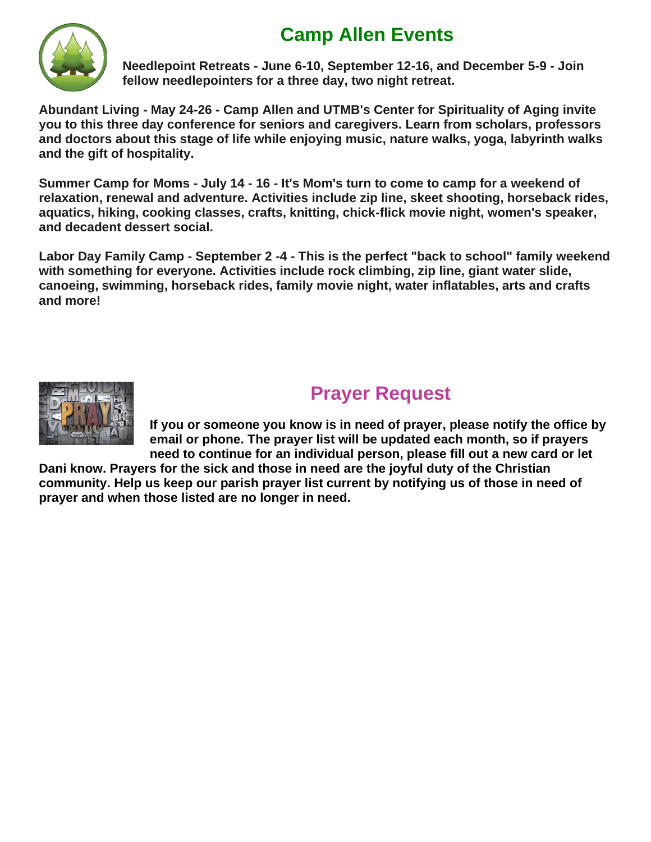# **Camp Allen Events**



**Needlepoint Retreats - June 6-10, September 12-16, and December 5-9 - Join fellow needlepointers for a three day, two night retreat.**

**Abundant Living - May 24-26 - Camp Allen and UTMB's Center for Spirituality of Aging invite you to this three day conference for seniors and caregivers. Learn from scholars, professors and doctors about this stage of life while enjoying music, nature walks, yoga, labyrinth walks and the gift of hospitality.**

**Summer Camp for Moms - July 14 - 16 - It's Mom's turn to come to camp for a weekend of relaxation, renewal and adventure. Activities include zip line, skeet shooting, horseback rides, aquatics, hiking, cooking classes, crafts, knitting, chick-flick movie night, women's speaker, and decadent dessert social.**

**Labor Day Family Camp - September 2 -4 - This is the perfect "back to school" family weekend with something for everyone. Activities include rock climbing, zip line, giant water slide, canoeing, swimming, horseback rides, family movie night, water inflatables, arts and crafts and more!**



# **Prayer Request**

**If you or someone you know is in need of prayer, please notify the office by email or phone. The prayer list will be updated each month, so if prayers need to continue for an individual person, please fill out a new card or let** 

**Dani know. Prayers for the sick and those in need are the joyful duty of the Christian community. Help us keep our parish prayer list current by notifying us of those in need of prayer and when those listed are no longer in need.**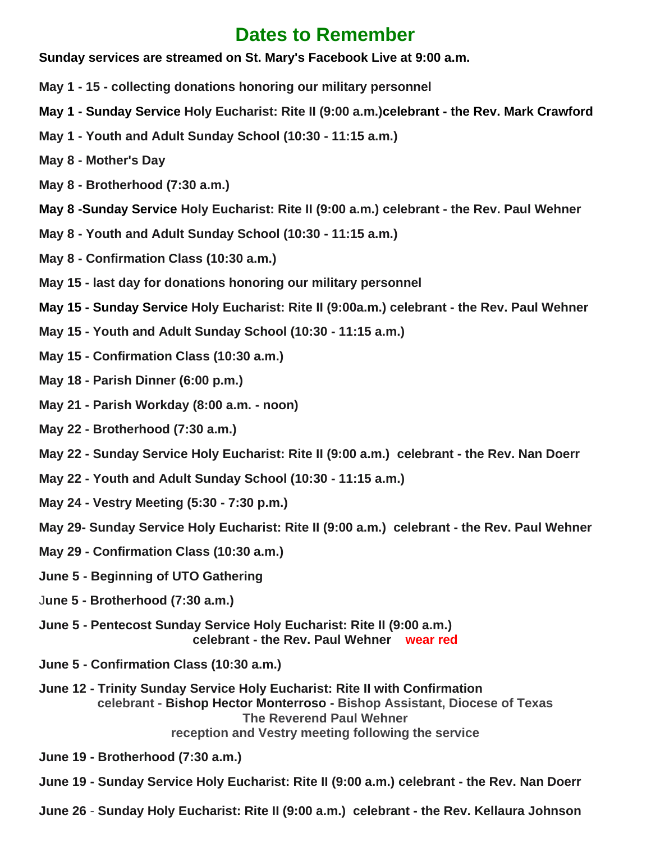### **Dates to Remember**

**Sunday services are streamed on St. Mary's Facebook Live at 9:00 a.m.**

- **May 1 - 15 - collecting donations honoring our military personnel**
- **May 1 - Sunday Service Holy Eucharist: Rite II (9:00 a.m.)celebrant - the Rev. Mark Crawford**
- **May 1 - Youth and Adult Sunday School (10:30 - 11:15 a.m.)**
- **May 8 - Mother's Day**
- **May 8 - Brotherhood (7:30 a.m.)**
- **May 8 -Sunday Service Holy Eucharist: Rite II (9:00 a.m.) celebrant - the Rev. Paul Wehner**
- **May 8 - Youth and Adult Sunday School (10:30 - 11:15 a.m.)**
- **May 8 - Confirmation Class (10:30 a.m.)**
- **May 15 - last day for donations honoring our military personnel**
- **May 15 - Sunday Service Holy Eucharist: Rite II (9:00a.m.) celebrant - the Rev. Paul Wehner**
- **May 15 - Youth and Adult Sunday School (10:30 - 11:15 a.m.)**
- **May 15 - Confirmation Class (10:30 a.m.)**
- **May 18 - Parish Dinner (6:00 p.m.)**
- **May 21 - Parish Workday (8:00 a.m. - noon)**
- **May 22 - Brotherhood (7:30 a.m.)**
- **May 22 - Sunday Service Holy Eucharist: Rite II (9:00 a.m.) celebrant - the Rev. Nan Doerr**
- **May 22 - Youth and Adult Sunday School (10:30 - 11:15 a.m.)**
- **May 24 - Vestry Meeting (5:30 - 7:30 p.m.)**
- **May 29- Sunday Service Holy Eucharist: Rite II (9:00 a.m.) celebrant - the Rev. Paul Wehner**
- **May 29 - Confirmation Class (10:30 a.m.)**
- **June 5 - Beginning of UTO Gathering**
- J**une 5 - Brotherhood (7:30 a.m.)**
- **June 5 - Pentecost Sunday Service Holy Eucharist: Rite II (9:00 a.m.) celebrant - the Rev. Paul Wehner wear red**
- **June 5 - Confirmation Class (10:30 a.m.)**
- **June 12 - Trinity Sunday Service Holy Eucharist: Rite II with Confirmation celebrant - Bishop Hector Monterroso - Bishop Assistant, Diocese of Texas The Reverend Paul Wehner reception and Vestry meeting following the service**
- **June 19 - Brotherhood (7:30 a.m.)**
- **June 19 - Sunday Service Holy Eucharist: Rite II (9:00 a.m.) celebrant - the Rev. Nan Doerr**
- **June 26 Sunday Holy Eucharist: Rite II (9:00 a.m.) celebrant - the Rev. Kellaura Johnson**